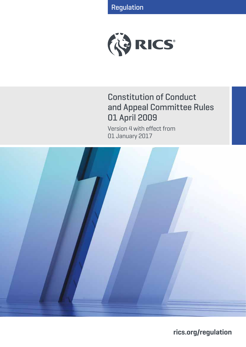Regulation



# Constitution of Conduct and Appeal Committee Rules 01 April 2009

Version 4 with effect from 01 January 2017



**rics.org/regulation**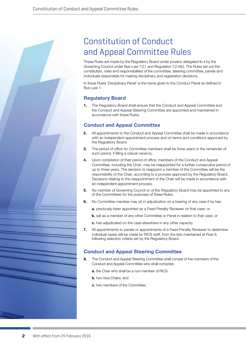# Constitution of Conduct and Appeal Committee Rules

These Rules are made by the Regulatory Board under powers delegated to it by the Governing Council under Bye-Law 7.2.1 and Regulation 7.2.4(b). The Rules set out the constitution, roles and responsibilities of the committee, steering committee, panels and individuals responsible for making disciplinary and registration decisions.

In these Rules 'Disciplinary Panel' is the name given to the Conduct Panel as defined in Bye-Law 1.

## **Regulatory Board**

**1.** The Regulatory Board shall ensure that the Conduct and Appeal Committee and the Conduct and Appeal Steering Committee are appointed and maintained in accordance with these Rules.

## **Conduct and Appeal Committee**

- **2.** All appointments to the Conduct and Appeal Committee shall be made in accordance with an independent appointment process and on terms and conditions approved by the Regulatory Board.
- **3.** The period of office for Committee members shall be three years or the remainder of such period, if filling a casual vacancy.
- **4.** Upon completion of their period of office, members of the Conduct and Appeal Committee, including the Chair, may be reappointed for a further consecutive period of up to three years. The decision to reappoint a member of the Committee will be the responsibility of the Chair, according to a process approved by the Regulatory Board. Decisions relating to the reappointment of the Chair will be made in accordance with an independent appointment process.
- **5.** No member of Governing Council or of the Regulatory Board may be appointed to any of the Committees for the purposes of these Rules.
- **6.** No Committee member may sit in adjudication on a hearing of any case if he has:
	- **a.** previously been appointed as a Fixed Penalty Reviewer on that case; or
	- **b.** sat as a member of any other Committee or Panel in relation to that case; or
	- **c.** has adjudicated on the case elsewhere in any other capacity.
- **7.** All appointments to panels or appointments of a Fixed Penalty Reviewer to determine individual cases will be made by RICS staff, from the lists maintained at Rule 9, following selection criteria set by the Regulatory Board.

## **Conduct and Appeal Steering Committee**

- **8.** The Conduct and Appeal Steering Committee shall consist of five members of the Conduct and Appeal Committee who shall comprise:
	- **a.** the Chair who shall be a non-member of RICS
	- **b.** two Vice Chairs: and
	- **c.** two members of the Committee.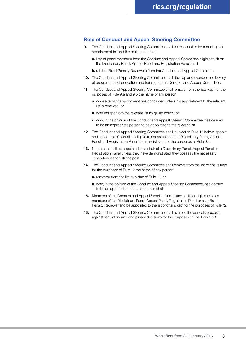## **Role of Conduct and Appeal Steering Committee**

- **9.** The Conduct and Appeal Steering Committee shall be responsible for securing the appointment to, and the maintenance of:
	- **a.** lists of panel members from the Conduct and Appeal Committee eligible to sit on the Disciplinary Panel, Appeal Panel and Registration Panel; and
	- **b.** a list of Fixed Penalty Reviewers from the Conduct and Appeal Committee.
- **10.** The Conduct and Appeal Steering Committee shall develop and oversee the delivery of programmes of education and training for the Conduct and Appeal Committee.
- **11.** The Conduct and Appeal Steering Committee shall remove from the lists kept for the purposes of Rule 9.a and 9.b the name of any person:
	- **a.** whose term of appointment has concluded unless his appointment to the relevant list is renewed; or
	- **b.** who resigns from the relevant list by giving notice; or
	- **c.** who, in the opinion of the Conduct and Appeal Steering Committee, has ceased to be an appropriate person to be appointed to the relevant list.
- **12.** The Conduct and Appeal Steering Committee shall, subject to Rule 13 below, appoint and keep a list of panellists eligible to act as chair of the Disciplinary Panel, Appeal Panel and Registration Panel from the list kept for the purposes of Rule 9.a.
- **13.** No person shall be appointed as a chair of a Disciplinary Panel, Appeal Panel or Registration Panel unless they have demonstrated they possess the necessary competencies to fulfil the post.
- **14.** The Conduct and Appeal Steering Committee shall remove from the list of chairs kept for the purposes of Rule 12 the name of any person:
	- **a.** removed from the list by virtue of Rule 11; or
	- **b.** who, in the opinion of the Conduct and Appeal Steering Committee, has ceased to be an appropriate person to act as chair.
- **15.** Members of the Conduct and Appeal Steering Committee shall be eligible to sit as members of the Disciplinary Panel, Appeal Panel, Registration Panel or as a Fixed Penalty Reviewer and be appointed to the list of chairs kept for the purposes of Rule 12.
- **16.** The Conduct and Appeal Steering Committee shall oversee the appeals process against regulatory and disciplinary decisions for the purposes of Bye-Law 5.5.1.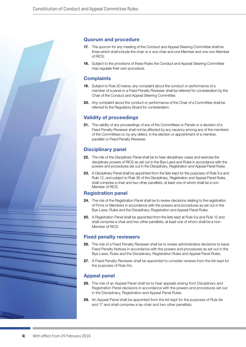

## **Quorum and procedure**

- **17.** The quorum for any meeting of the Conduct and Appeal Steering Committee shall be three which shall include the chair or a vice chair and one Member and one non-Member of RICS.
- **18.** Subject to the provisions of these Rules the Conduct and Appeal Steering Committee may regulate their own procedure.

## **Complaints**

- **19.** Subject to Rule 20 below, any complaint about the conduct or performance of a member of a panel or a Fixed Penalty Reviewer shall be referred for consideration by the Chair of the Conduct and Appeal Steering Committee.
- **20.** Any complaint about the conduct or performance of the Chair of a Committee shall be referred to the Regulatory Board for consideration.

## **Validity of proceedings**

**21.** The validity of any proceedings of any of the Committees or Panels or a decision of a Fixed Penalty Reviewer shall not be affected by any vacancy among any of the members of the Committees or, by any defect, in the election or appointment of a member, panellist or Fixed Penalty Reviewer.

## **Disciplinary panel**

- **22.** The role of the Disciplinary Panel shall be to hear disciplinary cases and exercise the disciplinary powers of RICS as set out in the Bye-Laws and Rules in accordance with the powers and procedures set out in the Disciplinary, Registration and Appeal Panel Rules.
- 23. A Disciplinary Panel shall be appointed from the lists kept for the purposes of Rule 9.a and Rule 12, and subject to Rule 36 of the Disciplinary, Registration and Appeal Panel Rules, shall comprise a chair and two other panellists, at least one of whom shall be a non-Member of RICS.

## **Registration panel**

- **24.** The role of the Registration Panel shall be to review decisions relating to the registration of Firms or Members in accordance with the powers and procedures as set out in the Bye-Laws, Rules and the Disciplinary, Registration and Appeal Panel Rules.
- **25.** A Registration Panel shall be appointed from the lists kept at Rule 9.a and Rule 12 and shall comprise a chair and two other panellists, at least one of whom shall be a non-Member of RICS.

## **Fixed penalty reviewers**

- **26.** The role of a Fixed Penalty Reviewer shall be to review administrative decisions to issue Fixed Penalty Notices in accordance with the powers and procedures as set out in the Bye-Laws, Rules and the Disciplinary, Registration Rules and Appeal Panel Rules.
- **27.** A Fixed Penalty Reviewer shall be appointed to consider reviews from the list kept for the purposes of Rule 9.b.

## **Appeal panel**

- **28.** The role of an Appeal Panel shall be to hear appeals arising from Disciplinary and Registration Panel decisions in accordance with the powers and procedures set out in the Disciplinary, Registration and Appeal Panel Rules.
- **29.** An Appeal Panel shall be appointed from the list kept for the purposes of Rule 9a and 17 and shall comprise a lay chair and two other panellists.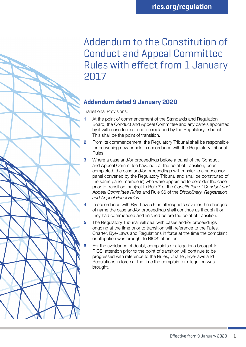# Addendum to the Constitution of Conduct and Appeal Committee Rules with effect from 1 January 2017

## **Addendum dated 9 January 2020**

Transitional Provisions:

- At the point of commencement of the Standards and Regulation Board, the Conduct and Appeal Committee and any panels appointed by it will cease to exist and be replaced by the Regulatory Tribunal. This shall be the point of transition.
- From its commencement, the Regulatory Tribunal shall be responsible for convening new panels in accordance with the Regulatory Tribunal Rules.
- **3** Where a case and/or proceedings before a panel of the Conduct and Appeal Committee have not, at the point of transition, been completed, the case and/or proceedings will transfer to a successor panel convened by the Regulatory Tribunal and shall be constituted of the same panel member(s) who were appointed to consider the case prior to transition, subject to Rule 7 of the *Constitution of Conduct and Appeal Committee Rules* and Rule 36 of the *Disciplinary, Registration and Appeal Panel Rules*.
- In accordance with Bye-Law 5.6, in all respects save for the changes of name the case and/or proceedings shall continue as though it or they had commenced and finished before the point of transition.
- 5 The Regulatory Tribunal will deal with cases and/or proceedings ongoing at the time prior to transition with reference to the Rules, Charter, Bye-Laws and Regulations in force at the time the complaint or allegation was brought to RICS' attention.
- For the avoidance of doubt, complaints or allegations brought to RICS' attention prior to the point of transition will continue to be progressed with reference to the Rules, Charter, Bye-laws and Regulations in force at the time the complaint or allegation was brought.